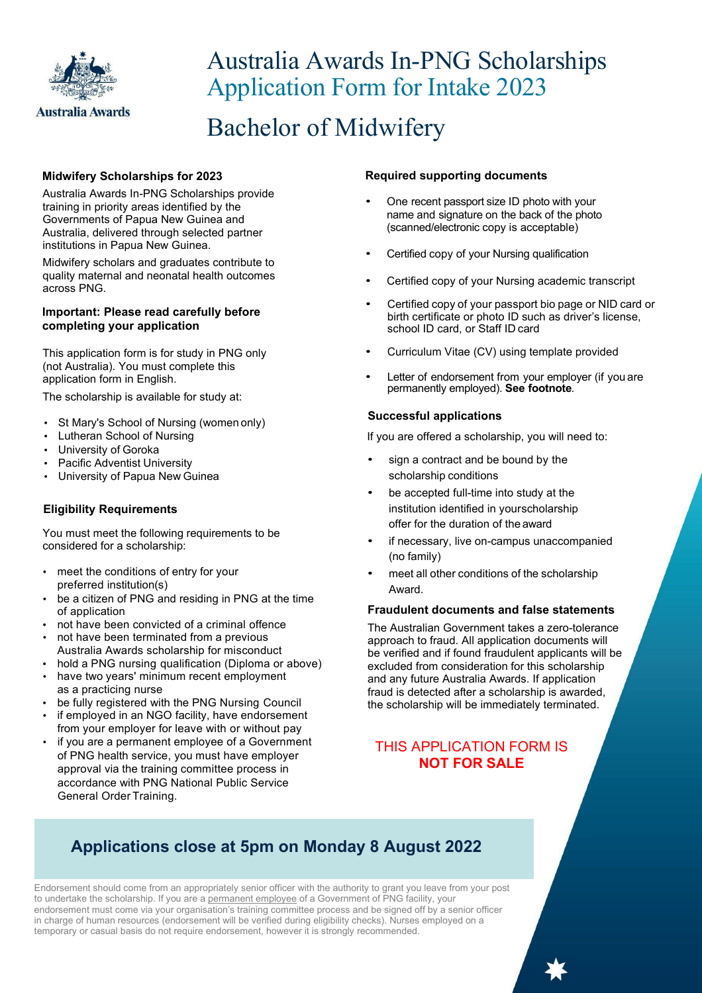

# Australia Awards In-PNG Scholarships Application Form for Intake 2023

# Bachelor of Midwifery

#### **Midwifery Scholarships for 2023**

Australia Awards In-PNG Scholarships provide training in priority areas identified by the Governments of Papua New Guinea and Australia, delivered through selected partner institutions in Papua New Guinea.

Midwifery scholars and graduates contribute to quality maternal and neonatal health outcomes across PNG.

#### **Important: Please read carefully before completing your application**

This application form is for study in PNG only (not Australia). You must complete this application form in English.

The scholarship is available for study at:

- St Mary's School of Nursing (women only)
- Lutheran School of Nursing
- University of Goroka
- Pacific Adventist University
- University of Papua New Guinea

#### **Eligibility Requirements**

You must meet the following requirements to be considered for a scholarship:

- meet the conditions of entry for your preferred institution(s)
- be a citizen of PNG and residing in PNG at the time of application
- not have been convicted of a criminal offence
- not have been terminated from a previous Australia Awards scholarship for misconduct
- hold a PNG nursing qualification (Diploma or above)
- have two years' minimum recent employment as a practicing nurse
- be fully registered with the PNG Nursing Council
- if employed in an NGO facility, have endorsement from your employer for leave with or without pay
- if you are a permanent employee of a Government of PNG health service, you must have employer approval via the training committee process in accordance with PNG National Public Service General Order Training.

#### **Required supporting documents**

- One recent passport size ID photo with your name and signature on the back of the photo (scanned/electronic copy is acceptable)
- Certified copy of your Nursing qualification
- Certified copy of your Nursing academic transcript
- Certified copy of your passport bio page or NID card or birth certificate or photo ID such as driver's license, school ID card, or Staff ID card
- Curriculum Vitae (CV) using template provided
- Letter of endorsement from your employer (if you are permanently employed). **See footnote***.*

#### **Successful applications**

If you are offered a scholarship, you will need to:

- sign a contract and be bound by the scholarship conditions
- be accepted full-time into study at the institution identified in yourscholarship offer for the duration of the award
- if necessary, live on-campus unaccompanied (no family)
- meet all other conditions of the scholarship Award.

#### **Fraudulent documents and false statements**

The Australian Government takes a zero-tolerance approach to fraud. All application documents will be verified and if found fraudulent applicants will be excluded from consideration for this scholarship and any future Australia Awards. If application fraud is detected after a scholarship is awarded, the scholarship will be immediately terminated.

### THIS APPLICATION FORM IS **NOT FOR SALE**

## **Applications close at 5pm on Monday 8 August 2022**

Endorsement should come from an appropriately senior officer with the authority to grant you leave from your post to undertake the scholarship. If you are a permanent employee of a Government of PNG facility, your endorsement must come via your organisation's training committee process and be signed off by a senior officer in charge of human resources (endorsement will be verified during eligibility checks). Nurses employed on a temporary or casual basis do not require endorsement, however it is strongly recommended.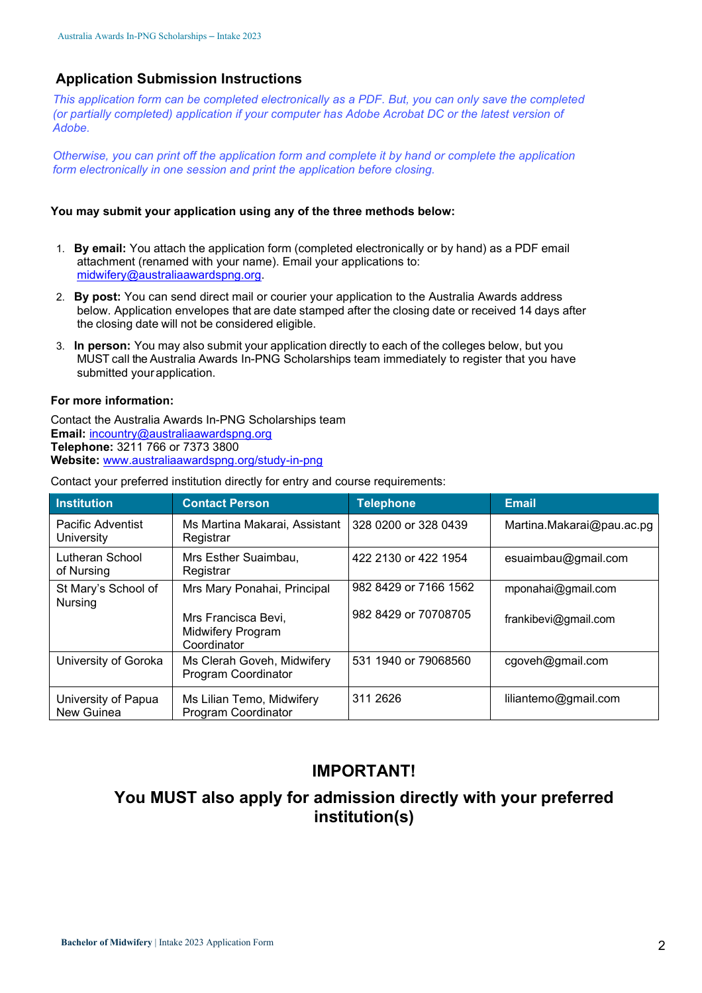#### **Application Submission Instructions**

*This application form can be completed electronically as a PDF. But, you can only save the completed (or partially completed) application if your computer has Adobe Acrobat DC or the latest version of Adobe.*

*Otherwise, you can print off the application form and complete it by hand or complete the application form electronically in one session and print the application before closing.*

#### **You may submit your application using any of the three methods below:**

- 1. **By email:** You attach the application form (completed electronically or by hand) as a PDF email attachment (renamed with your name). Email your applications to: midwifery@australiaawardspng.org.
- 2. **By post:** You can send direct mail or courier your application to the Australia Awards address below. Application envelopes that are date stamped after the closing date or received 14 days after the closing date will not be considered eligible.
- 3. **In person:** You may also submit your application directly to each of the colleges below, but you MUST call the Australia Awards In-PNG Scholarships team immediately to register that you have submitted yourapplication.

#### **For more information:**

Contact the Australia Awards In-PNG Scholarships team **Email:** incountry@australiaawardspng.org **Telephone:** 3211 766 or 7373 3800 **Website:** www.australiaawardspng.org/study-in-png

| <b>Institution</b>                     | <b>Contact Person</b>                                   | <b>Telephone</b>      | Email                     |
|----------------------------------------|---------------------------------------------------------|-----------------------|---------------------------|
| <b>Pacific Adventist</b><br>University | Ms Martina Makarai, Assistant<br>Registrar              | 328 0200 or 328 0439  | Martina.Makarai@pau.ac.pg |
| Lutheran School<br>of Nursing          | Mrs Esther Suaimbau,<br>Registrar                       | 422 2130 or 422 1954  | esuaimbau@gmail.com       |
| St Mary's School of<br><b>Nursing</b>  | Mrs Mary Ponahai, Principal                             | 982 8429 or 7166 1562 | mponahai@gmail.com        |
|                                        | Mrs Francisca Bevi,<br>Midwifery Program<br>Coordinator | 982 8429 or 70708705  | frankibevi@gmail.com      |
| University of Goroka                   | Ms Clerah Goveh, Midwifery<br>Program Coordinator       | 531 1940 or 79068560  | cgoveh@gmail.com          |
| University of Papua<br>New Guinea      | Ms Lilian Temo, Midwifery<br>Program Coordinator        | 311 2626              | liliantemo@gmail.com      |

Contact your preferred institution directly for entry and course requirements:

### **IMPORTANT!**

## **You MUST also apply for admission directly with your preferred institution(s)**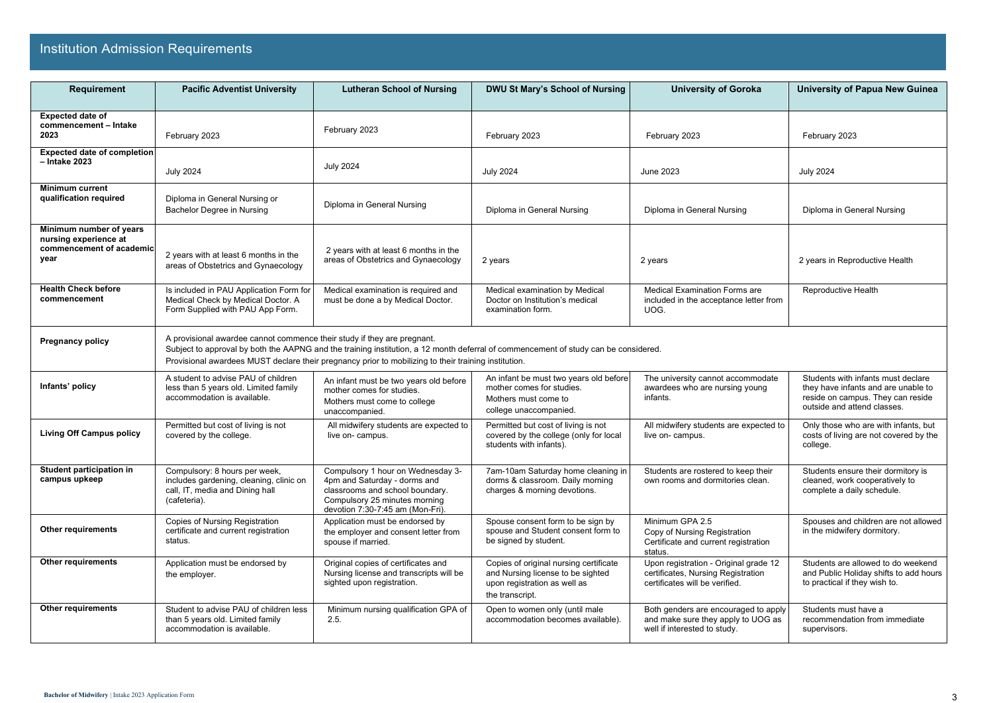| <b>Requirement</b>                                                                   | <b>Pacific Adventist University</b>                                                                                         | <b>Lutheran School of Nursing</b>                                                                                                                                                                                                           | <b>DWU St Mary's School of Nursing</b>                                                                                         | <b>University of Goroka</b>                                                                                   | <b>University of Papua New Guinea</b>                                                                                                         |
|--------------------------------------------------------------------------------------|-----------------------------------------------------------------------------------------------------------------------------|---------------------------------------------------------------------------------------------------------------------------------------------------------------------------------------------------------------------------------------------|--------------------------------------------------------------------------------------------------------------------------------|---------------------------------------------------------------------------------------------------------------|-----------------------------------------------------------------------------------------------------------------------------------------------|
| <b>Expected date of</b>                                                              |                                                                                                                             |                                                                                                                                                                                                                                             |                                                                                                                                |                                                                                                               |                                                                                                                                               |
| commencement - Intake<br>2023                                                        | February 2023                                                                                                               | February 2023                                                                                                                                                                                                                               | February 2023                                                                                                                  | February 2023                                                                                                 | February 2023                                                                                                                                 |
| <b>Expected date of completion</b><br>$-$ Intake 2023                                | <b>July 2024</b>                                                                                                            | <b>July 2024</b>                                                                                                                                                                                                                            | <b>July 2024</b>                                                                                                               | <b>June 2023</b>                                                                                              | <b>July 2024</b>                                                                                                                              |
| <b>Minimum current</b><br>qualification required                                     | Diploma in General Nursing or<br>Bachelor Degree in Nursing                                                                 | Diploma in General Nursing                                                                                                                                                                                                                  | Diploma in General Nursing                                                                                                     | Diploma in General Nursing                                                                                    | Diploma in General Nursing                                                                                                                    |
| Minimum number of years<br>nursing experience at<br>commencement of academic<br>year | 2 years with at least 6 months in the<br>areas of Obstetrics and Gynaecology                                                | 2 years with at least 6 months in the<br>areas of Obstetrics and Gynaecology                                                                                                                                                                | 2 years                                                                                                                        | 2 years                                                                                                       | 2 years in Reproductive Health                                                                                                                |
| <b>Health Check before</b><br>commencement                                           | Is included in PAU Application Form for<br>Medical Check by Medical Doctor. A<br>Form Supplied with PAU App Form.           | Medical examination is required and<br>must be done a by Medical Doctor.                                                                                                                                                                    | Medical examination by Medical<br>Doctor on Institution's medical<br>examination form.                                         | <b>Medical Examination Forms are</b><br>included in the acceptance letter from<br>UOG.                        | Reproductive Health                                                                                                                           |
| <b>Pregnancy policy</b>                                                              | A provisional awardee cannot commence their study if they are pregnant.                                                     | Subject to approval by both the AAPNG and the training institution, a 12 month deferral of commencement of study can be considered.<br>Provisional awardees MUST declare their pregnancy prior to mobilizing to their training institution. |                                                                                                                                |                                                                                                               |                                                                                                                                               |
| Infants' policy                                                                      | A student to advise PAU of children<br>less than 5 years old. Limited family<br>accommodation is available.                 | An infant must be two years old before<br>mother comes for studies.<br>Mothers must come to college<br>unaccompanied.                                                                                                                       | An infant be must two years old before<br>mother comes for studies.<br>Mothers must come to<br>college unaccompanied.          | The university cannot accommodate<br>awardees who are nursing young<br>infants.                               | Students with infants must declare<br>they have infants and are unable to<br>reside on campus. They can reside<br>outside and attend classes. |
| <b>Living Off Campus policy</b>                                                      | Permitted but cost of living is not<br>covered by the college.                                                              | All midwifery students are expected to<br>live on- campus.                                                                                                                                                                                  | Permitted but cost of living is not<br>covered by the college (only for local<br>students with infants).                       | All midwifery students are expected to<br>live on- campus.                                                    | Only those who are with infants, but<br>costs of living are not covered by the<br>college.                                                    |
| Student participation in<br>campus upkeep                                            | Compulsory: 8 hours per week,<br>includes gardening, cleaning, clinic on<br>call, IT, media and Dining hall<br>(cafeteria). | Compulsory 1 hour on Wednesday 3-<br>4pm and Saturday - dorms and<br>classrooms and school boundary.<br>Compulsory 25 minutes morning<br>devotion 7:30-7:45 am (Mon-Fri).                                                                   | 7am-10am Saturday home cleaning in<br>dorms & classroom. Daily morning<br>charges & morning devotions.                         | Students are rostered to keep their<br>own rooms and dormitories clean.                                       | Students ensure their dormitory is<br>cleaned, work cooperatively to<br>complete a daily schedule.                                            |
| <b>Other requirements</b>                                                            | <b>Copies of Nursing Registration</b><br>certificate and current registration<br>status.                                    | Application must be endorsed by<br>the employer and consent letter from<br>spouse if married.                                                                                                                                               | Spouse consent form to be sign by<br>spouse and Student consent form to<br>be signed by student.                               | Minimum GPA 2.5<br>Copy of Nursing Registration<br>Certificate and current registration<br>status.            | Spouses and children are not allowed<br>in the midwifery dormitory.                                                                           |
| <b>Other requirements</b>                                                            | Application must be endorsed by<br>the employer.                                                                            | Original copies of certificates and<br>Nursing license and transcripts will be<br>sighted upon registration.                                                                                                                                | Copies of original nursing certificate<br>and Nursing license to be sighted<br>upon registration as well as<br>the transcript. | Upon registration - Original grade 12<br>certificates, Nursing Registration<br>certificates will be verified. | Students are allowed to do weekend<br>and Public Holiday shifts to add hours<br>to practical if they wish to.                                 |
| <b>Other requirements</b>                                                            | Student to advise PAU of children less<br>than 5 years old. Limited family<br>accommodation is available.                   | Minimum nursing qualification GPA of<br>2.5.                                                                                                                                                                                                | Open to women only (until male<br>accommodation becomes available).                                                            | Both genders are encouraged to apply<br>and make sure they apply to UOG as<br>well if interested to study.    | Students must have a<br>recommendation from immediate<br>supervisors.                                                                         |

## Institution Admission Requirements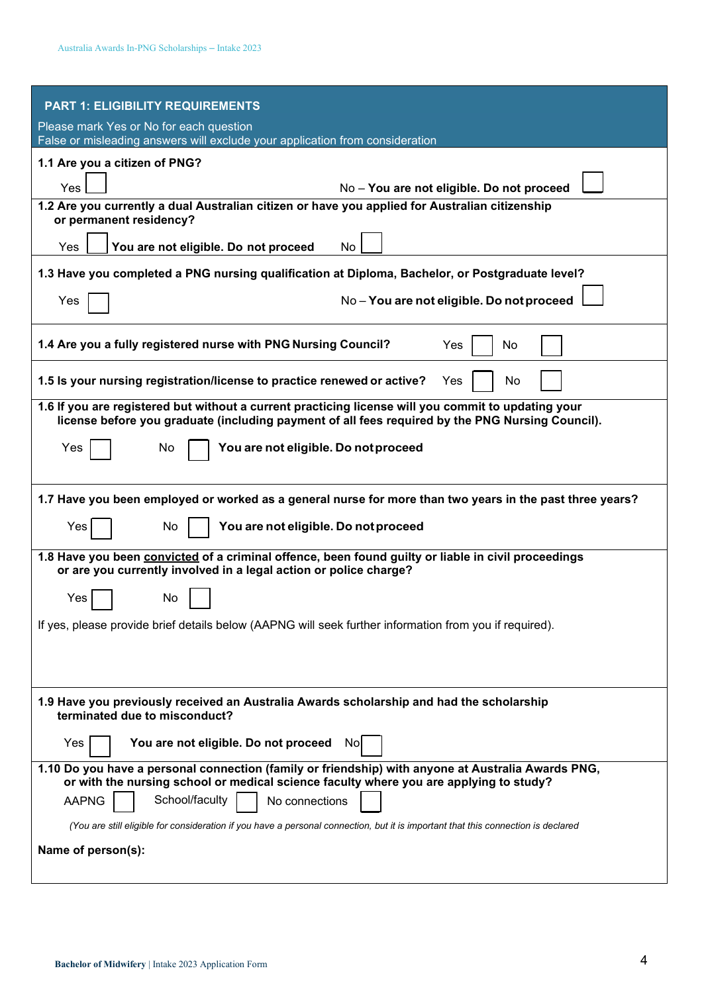| <b>PART 1: ELIGIBILITY REQUIREMENTS</b>                                                                                                                                                                 |
|---------------------------------------------------------------------------------------------------------------------------------------------------------------------------------------------------------|
| Please mark Yes or No for each question<br>False or misleading answers will exclude your application from consideration                                                                                 |
| 1.1 Are you a citizen of PNG?                                                                                                                                                                           |
|                                                                                                                                                                                                         |
| No - You are not eligible. Do not proceed<br>Yes                                                                                                                                                        |
| 1.2 Are you currently a dual Australian citizen or have you applied for Australian citizenship<br>or permanent residency?                                                                               |
| You are not eligible. Do not proceed<br>Yes<br>No                                                                                                                                                       |
| 1.3 Have you completed a PNG nursing qualification at Diploma, Bachelor, or Postgraduate level?                                                                                                         |
| No-You are not eligible. Do not proceed<br>Yes                                                                                                                                                          |
| 1.4 Are you a fully registered nurse with PNG Nursing Council?<br>Yes<br>No                                                                                                                             |
| 1.5 Is your nursing registration/license to practice renewed or active?<br>Yes<br>No                                                                                                                    |
| 1.6 If you are registered but without a current practicing license will you commit to updating your<br>license before you graduate (including payment of all fees required by the PNG Nursing Council). |
| You are not eligible. Do not proceed<br>Yes<br>No                                                                                                                                                       |
| 1.7 Have you been employed or worked as a general nurse for more than two years in the past three years?                                                                                                |
| You are not eligible. Do not proceed<br>Yes<br>No.                                                                                                                                                      |
| 1.8 Have you been convicted of a criminal offence, been found guilty or liable in civil proceedings<br>or are you currently involved in a legal action or police charge?                                |
| Yes<br>No                                                                                                                                                                                               |
| If yes, please provide brief details below (AAPNG will seek further information from you if required).                                                                                                  |
|                                                                                                                                                                                                         |
| 1.9 Have you previously received an Australia Awards scholarship and had the scholarship<br>terminated due to misconduct?                                                                               |
| You are not eligible. Do not proceed<br>Yes<br>Nol                                                                                                                                                      |
| 1.10 Do you have a personal connection (family or friendship) with anyone at Australia Awards PNG,<br>or with the nursing school or medical science faculty where you are applying to study?            |
| School/faculty<br><b>AAPNG</b><br>No connections                                                                                                                                                        |
| (You are still eligible for consideration if you have a personal connection, but it is important that this connection is declared                                                                       |
| Name of person(s):                                                                                                                                                                                      |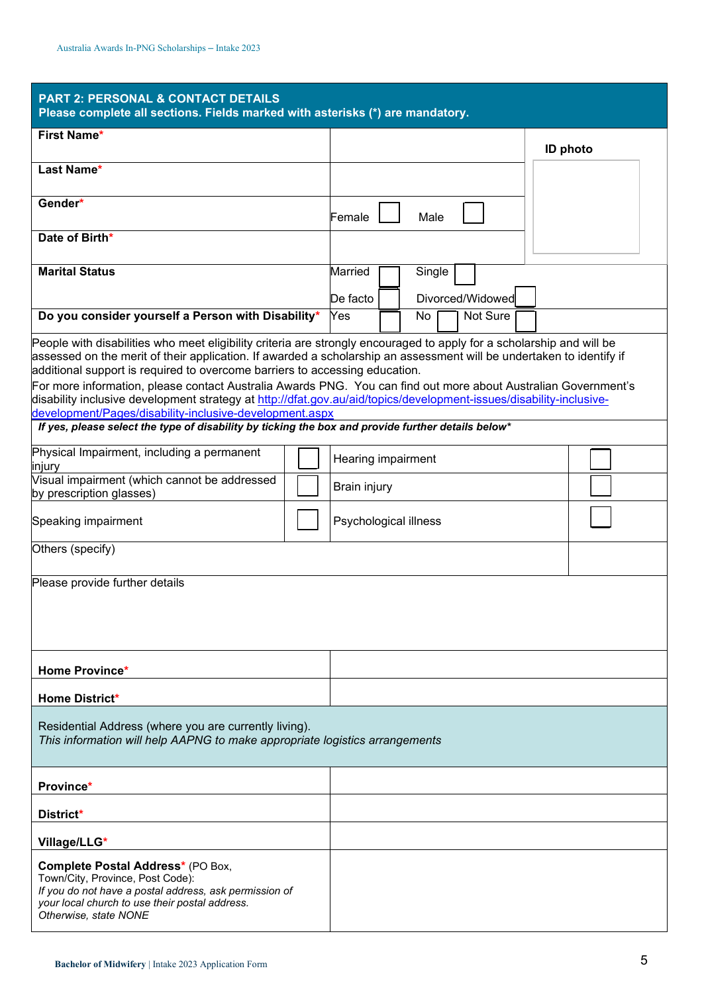| <b>PART 2: PERSONAL &amp; CONTACT DETAILS</b><br>Please complete all sections. Fields marked with asterisks (*) are mandatory.                                                                                                                                                                                                                                                                                                                                                                                                                                                                                                   |  |                                                   |                 |  |
|----------------------------------------------------------------------------------------------------------------------------------------------------------------------------------------------------------------------------------------------------------------------------------------------------------------------------------------------------------------------------------------------------------------------------------------------------------------------------------------------------------------------------------------------------------------------------------------------------------------------------------|--|---------------------------------------------------|-----------------|--|
| <b>First Name*</b>                                                                                                                                                                                                                                                                                                                                                                                                                                                                                                                                                                                                               |  |                                                   | <b>ID photo</b> |  |
| Last Name*                                                                                                                                                                                                                                                                                                                                                                                                                                                                                                                                                                                                                       |  |                                                   |                 |  |
| Gender*                                                                                                                                                                                                                                                                                                                                                                                                                                                                                                                                                                                                                          |  | Male<br>Female                                    |                 |  |
| Date of Birth*                                                                                                                                                                                                                                                                                                                                                                                                                                                                                                                                                                                                                   |  |                                                   |                 |  |
| <b>Marital Status</b>                                                                                                                                                                                                                                                                                                                                                                                                                                                                                                                                                                                                            |  | Married<br>Single<br>Divorced/Widowed<br>De facto |                 |  |
| Do you consider yourself a Person with Disability*                                                                                                                                                                                                                                                                                                                                                                                                                                                                                                                                                                               |  | Yes<br>Not Sure<br>No                             |                 |  |
| People with disabilities who meet eligibility criteria are strongly encouraged to apply for a scholarship and will be<br>assessed on the merit of their application. If awarded a scholarship an assessment will be undertaken to identify if<br>additional support is required to overcome barriers to accessing education.<br>For more information, please contact Australia Awards PNG. You can find out more about Australian Government's<br>disability inclusive development strategy at http://dfat.gov.au/aid/topics/development-issues/disability-inclusive-<br>development/Pages/disability-inclusive-development.aspx |  |                                                   |                 |  |
| If yes, please select the type of disability by ticking the box and provide further details below*                                                                                                                                                                                                                                                                                                                                                                                                                                                                                                                               |  |                                                   |                 |  |
| Physical Impairment, including a permanent<br>injury                                                                                                                                                                                                                                                                                                                                                                                                                                                                                                                                                                             |  | Hearing impairment                                |                 |  |
| Visual impairment (which cannot be addressed<br>by prescription glasses)                                                                                                                                                                                                                                                                                                                                                                                                                                                                                                                                                         |  | <b>Brain injury</b>                               |                 |  |
| Speaking impairment                                                                                                                                                                                                                                                                                                                                                                                                                                                                                                                                                                                                              |  | Psychological illness                             |                 |  |
| Others (specify)                                                                                                                                                                                                                                                                                                                                                                                                                                                                                                                                                                                                                 |  |                                                   |                 |  |
| Please provide further details                                                                                                                                                                                                                                                                                                                                                                                                                                                                                                                                                                                                   |  |                                                   |                 |  |
| Home Province*                                                                                                                                                                                                                                                                                                                                                                                                                                                                                                                                                                                                                   |  |                                                   |                 |  |
| <b>Home District*</b>                                                                                                                                                                                                                                                                                                                                                                                                                                                                                                                                                                                                            |  |                                                   |                 |  |
| Residential Address (where you are currently living).<br>This information will help AAPNG to make appropriate logistics arrangements                                                                                                                                                                                                                                                                                                                                                                                                                                                                                             |  |                                                   |                 |  |
| Province*                                                                                                                                                                                                                                                                                                                                                                                                                                                                                                                                                                                                                        |  |                                                   |                 |  |
| District*                                                                                                                                                                                                                                                                                                                                                                                                                                                                                                                                                                                                                        |  |                                                   |                 |  |
| Village/LLG*                                                                                                                                                                                                                                                                                                                                                                                                                                                                                                                                                                                                                     |  |                                                   |                 |  |
| Complete Postal Address* (PO Box,<br>Town/City, Province, Post Code):<br>If you do not have a postal address, ask permission of<br>your local church to use their postal address.<br>Otherwise, state NONE                                                                                                                                                                                                                                                                                                                                                                                                                       |  |                                                   |                 |  |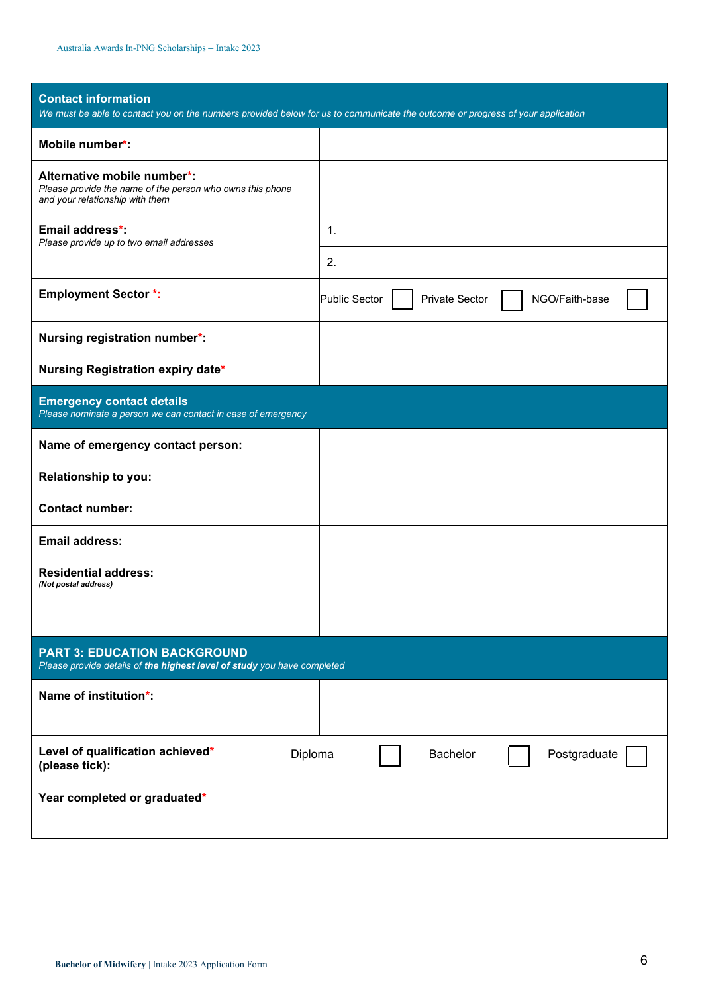| <b>Contact information</b><br>We must be able to contact you on the numbers provided below for us to communicate the outcome or progress of your application |         |                                               |                |  |
|--------------------------------------------------------------------------------------------------------------------------------------------------------------|---------|-----------------------------------------------|----------------|--|
| Mobile number*:                                                                                                                                              |         |                                               |                |  |
| Alternative mobile number*:<br>Please provide the name of the person who owns this phone<br>and your relationship with them                                  |         |                                               |                |  |
| Email address*:<br>Please provide up to two email addresses                                                                                                  |         | 1.                                            |                |  |
|                                                                                                                                                              |         | 2.                                            |                |  |
| <b>Employment Sector *:</b>                                                                                                                                  |         | <b>Public Sector</b><br><b>Private Sector</b> | NGO/Faith-base |  |
| Nursing registration number*:                                                                                                                                |         |                                               |                |  |
| Nursing Registration expiry date*                                                                                                                            |         |                                               |                |  |
| <b>Emergency contact details</b><br>Please nominate a person we can contact in case of emergency                                                             |         |                                               |                |  |
| Name of emergency contact person:                                                                                                                            |         |                                               |                |  |
| Relationship to you:                                                                                                                                         |         |                                               |                |  |
| <b>Contact number:</b>                                                                                                                                       |         |                                               |                |  |
| <b>Email address:</b>                                                                                                                                        |         |                                               |                |  |
| <b>Residential address:</b><br>(Not postal address)                                                                                                          |         |                                               |                |  |
|                                                                                                                                                              |         |                                               |                |  |
| <b>PART 3: EDUCATION BACKGROUND</b><br>Please provide details of the highest level of study you have completed                                               |         |                                               |                |  |
| Name of institution*:                                                                                                                                        |         |                                               |                |  |
|                                                                                                                                                              |         |                                               |                |  |
| Level of qualification achieved*<br>(please tick):                                                                                                           | Diploma | <b>Bachelor</b>                               | Postgraduate   |  |
| Year completed or graduated*                                                                                                                                 |         |                                               |                |  |
|                                                                                                                                                              |         |                                               |                |  |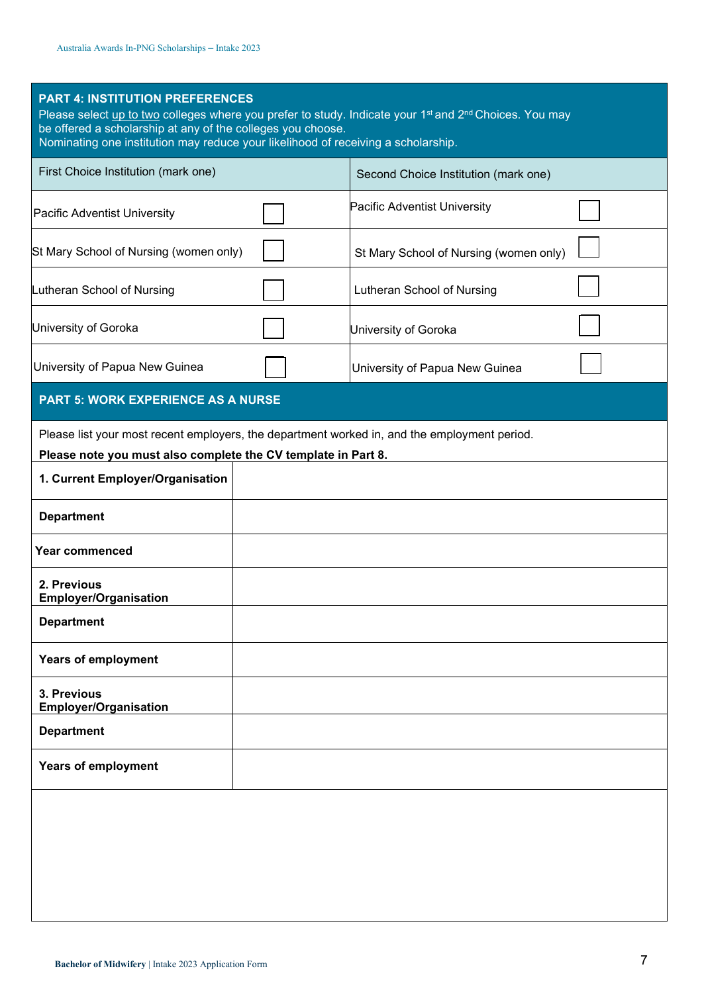| <b>PART 4: INSTITUTION PREFERENCES</b><br>Please select up to two colleges where you prefer to study. Indicate your 1 <sup>st</sup> and 2 <sup>nd</sup> Choices. You may<br>be offered a scholarship at any of the colleges you choose.<br>Nominating one institution may reduce your likelihood of receiving a scholarship. |  |  |  |  |
|------------------------------------------------------------------------------------------------------------------------------------------------------------------------------------------------------------------------------------------------------------------------------------------------------------------------------|--|--|--|--|
| Second Choice Institution (mark one)                                                                                                                                                                                                                                                                                         |  |  |  |  |
| Pacific Adventist University                                                                                                                                                                                                                                                                                                 |  |  |  |  |
| St Mary School of Nursing (women only)                                                                                                                                                                                                                                                                                       |  |  |  |  |
| Lutheran School of Nursing                                                                                                                                                                                                                                                                                                   |  |  |  |  |
| University of Goroka                                                                                                                                                                                                                                                                                                         |  |  |  |  |
| University of Papua New Guinea                                                                                                                                                                                                                                                                                               |  |  |  |  |
|                                                                                                                                                                                                                                                                                                                              |  |  |  |  |
| Please list your most recent employers, the department worked in, and the employment period.<br>Please note you must also complete the CV template in Part 8.                                                                                                                                                                |  |  |  |  |
|                                                                                                                                                                                                                                                                                                                              |  |  |  |  |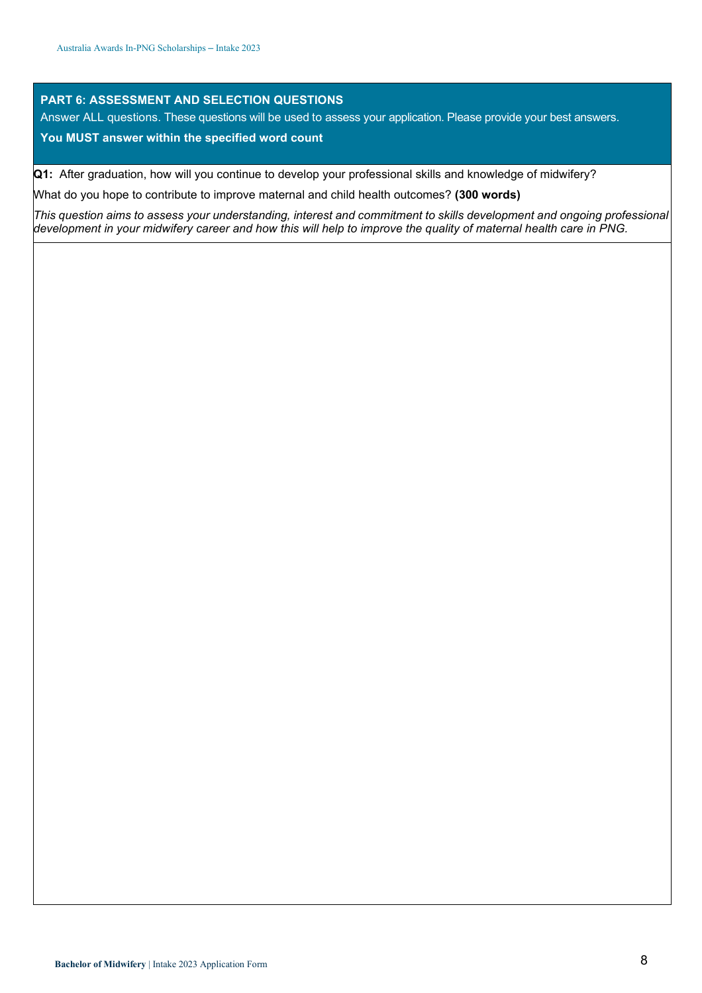#### **PART 6: ASSESSMENT AND SELECTION QUESTIONS**

Answer ALL questions. These questions will be used to assess your application. Please provide your best answers.

#### **You MUST answer within the specified word count**

**Q1:** After graduation, how will you continue to develop your professional skills and knowledge of midwifery?

What do you hope to contribute to improve maternal and child health outcomes? **(300 words)**

*This question aims to assess your understanding, interest and commitment to skills development and ongoing professional development in your midwifery career and how this will help to improve the quality of maternal health care in PNG.*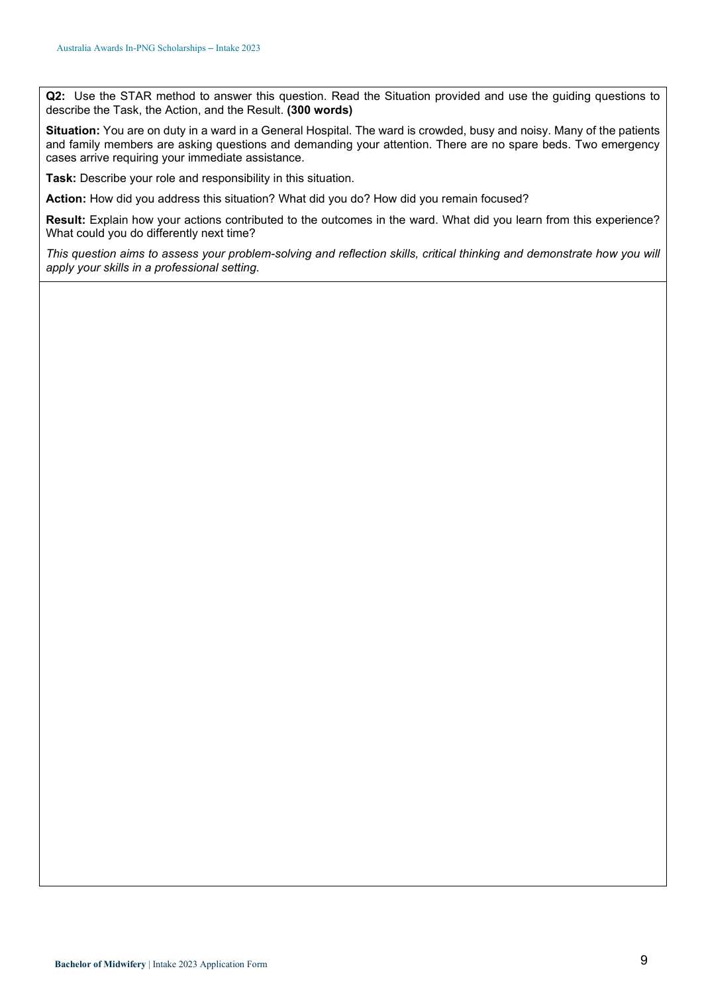**Q2:** Use the STAR method to answer this question. Read the Situation provided and use the guiding questions to describe the Task, the Action, and the Result. **(300 words)**

**Situation:** You are on duty in a ward in a General Hospital. The ward is crowded, busy and noisy. Many of the patients and family members are asking questions and demanding your attention. There are no spare beds. Two emergency cases arrive requiring your immediate assistance.

**Task:** Describe your role and responsibility in this situation.

**Action:** How did you address this situation? What did you do? How did you remain focused?

**Result:** Explain how your actions contributed to the outcomes in the ward. What did you learn from this experience? What could you do differently next time?

*This question aims to assess your problem-solving and reflection skills, critical thinking and demonstrate how you will apply your skills in a professional setting.*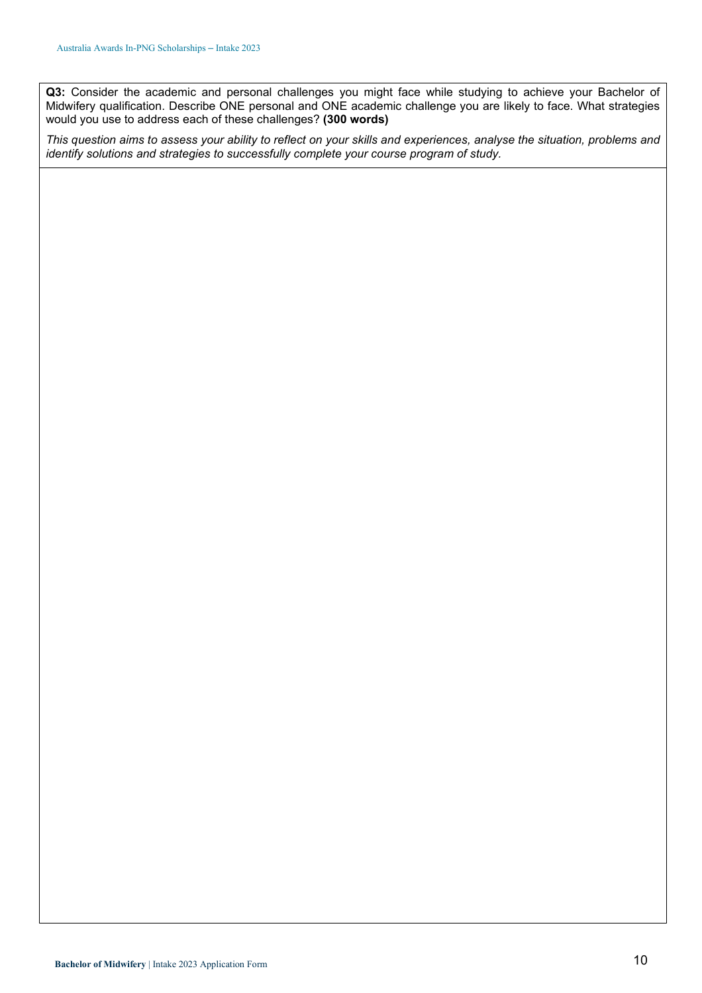**Q3:** Consider the academic and personal challenges you might face while studying to achieve your Bachelor of Midwifery qualification. Describe ONE personal and ONE academic challenge you are likely to face. What strategies would you use to address each of these challenges? **(300 words)**

*This question aims to assess your ability to reflect on your skills and experiences, analyse the situation, problems and identify solutions and strategies to successfully complete your course program of study.*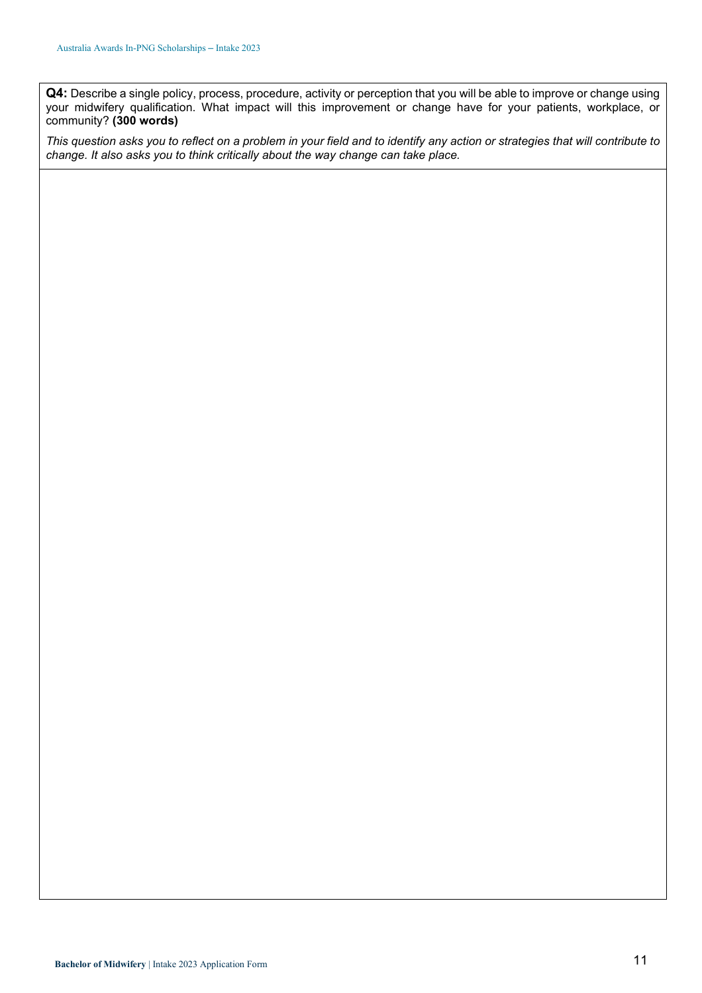**Q4:** Describe a single policy, process, procedure, activity or perception that you will be able to improve or change using your midwifery qualification. What impact will this improvement or change have for your patients, workplace, or community? **(300 words)**

*This question asks you to reflect on a problem in your field and to identify any action or strategies that will contribute to change. It also asks you to think critically about the way change can take place.*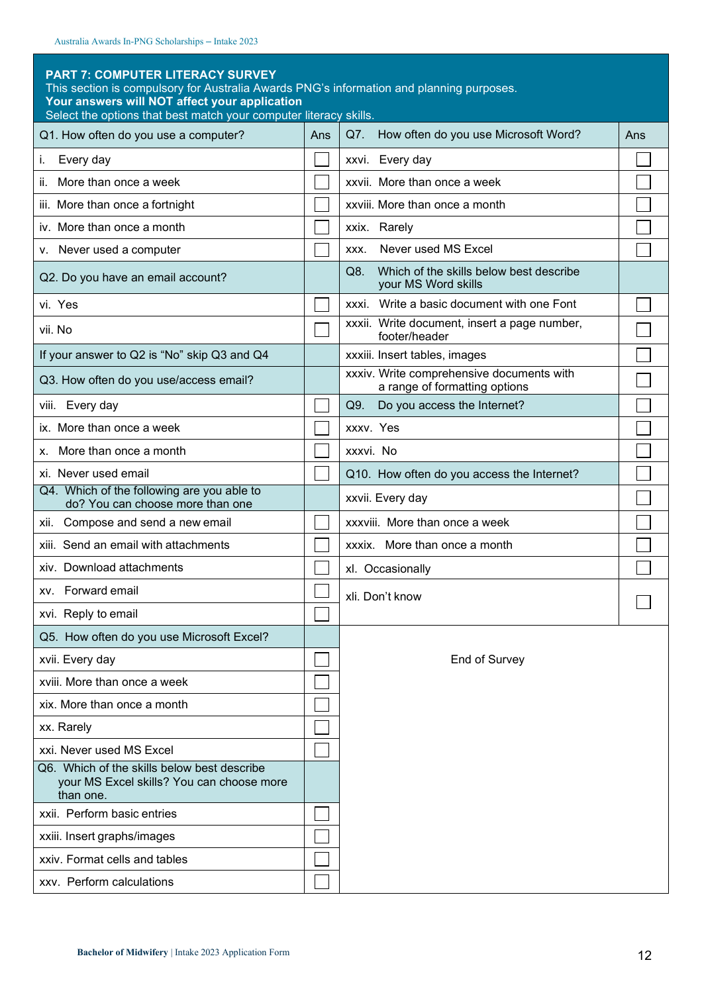#### **PART 7: COMPUTER LITERACY SURVEY**

This section is compulsory for Australia Awards PNG's information and planning purposes.

**Your answers will NOT affect your application**

| Select the options that best match your computer literacy skills.                                     |     |                                                                            |     |
|-------------------------------------------------------------------------------------------------------|-----|----------------------------------------------------------------------------|-----|
| Q1. How often do you use a computer?                                                                  | Ans | How often do you use Microsoft Word?<br>Q7.                                | Ans |
| Every day<br>i.                                                                                       |     | xxvi. Every day                                                            |     |
| More than once a week<br>ii.                                                                          |     | xxvii. More than once a week                                               |     |
| iii. More than once a fortnight                                                                       |     | xxviii. More than once a month                                             |     |
| iv. More than once a month                                                                            |     | xxix. Rarely                                                               |     |
| v. Never used a computer                                                                              |     | Never used MS Excel<br>XXX.                                                |     |
| Q2. Do you have an email account?                                                                     |     | Which of the skills below best describe<br>Q8.<br>your MS Word skills      |     |
| vi. Yes                                                                                               |     | xxxi. Write a basic document with one Font                                 |     |
| vii. No                                                                                               |     | xxxii. Write document, insert a page number,<br>footer/header              |     |
| If your answer to Q2 is "No" skip Q3 and Q4                                                           |     | xxxiii. Insert tables, images                                              |     |
| Q3. How often do you use/access email?                                                                |     | xxxiv. Write comprehensive documents with<br>a range of formatting options |     |
| viii. Every day                                                                                       |     | Q9.<br>Do you access the Internet?                                         |     |
| ix. More than once a week                                                                             |     | XXXV. Yes                                                                  |     |
| More than once a month<br>х.                                                                          |     | xxxvi. No                                                                  |     |
| xi. Never used email                                                                                  |     | Q10. How often do you access the Internet?                                 |     |
| Q4. Which of the following are you able to<br>do? You can choose more than one                        |     | xxvii. Every day                                                           |     |
| xii. Compose and send a new email                                                                     |     | xxxviii. More than once a week                                             |     |
| xiii. Send an email with attachments                                                                  |     | xxxix. More than once a month                                              |     |
| xiv. Download attachments                                                                             |     | xl. Occasionally                                                           |     |
| xv. Forward email                                                                                     |     | xli. Don't know                                                            |     |
| xvi. Reply to email                                                                                   |     |                                                                            |     |
| Q5. How often do you use Microsoft Excel?                                                             |     |                                                                            |     |
| xvii. Every day                                                                                       |     | End of Survey                                                              |     |
| xviii. More than once a week                                                                          |     |                                                                            |     |
| xix. More than once a month                                                                           |     |                                                                            |     |
| xx. Rarely                                                                                            |     |                                                                            |     |
| xxi. Never used MS Excel                                                                              |     |                                                                            |     |
| Q6. Which of the skills below best describe<br>your MS Excel skills? You can choose more<br>than one. |     |                                                                            |     |
| xxii. Perform basic entries                                                                           |     |                                                                            |     |
| xxiii. Insert graphs/images                                                                           |     |                                                                            |     |
| xxiv. Format cells and tables                                                                         |     |                                                                            |     |
| xxv. Perform calculations                                                                             |     |                                                                            |     |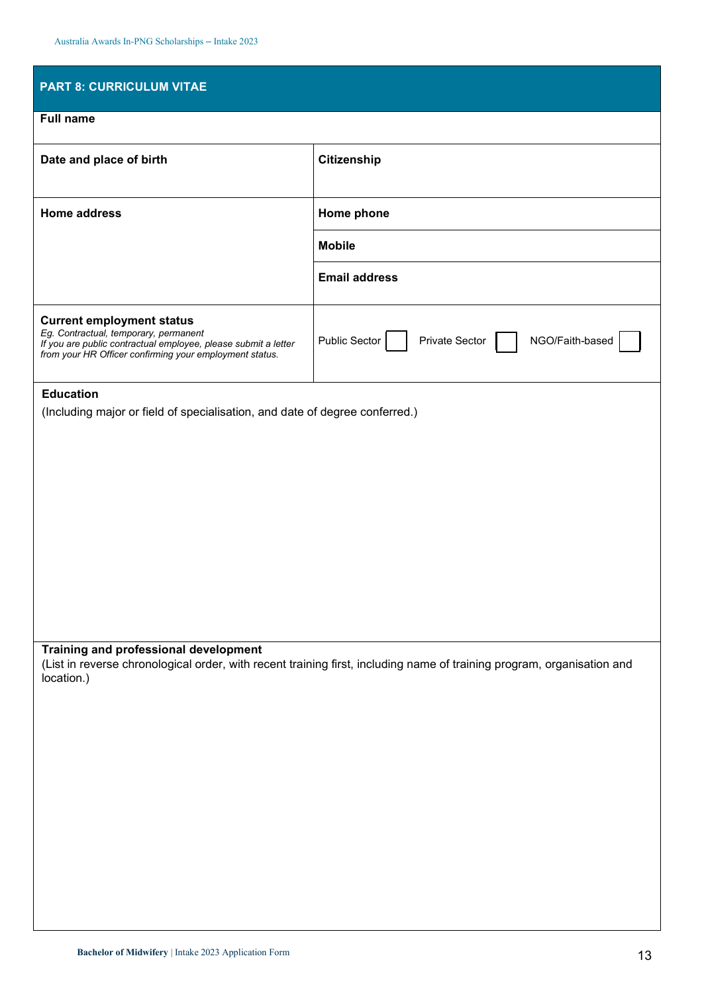| <b>PART 8: CURRICULUM VITAE</b>                                                                                                                                                                        |                                                                                                                        |
|--------------------------------------------------------------------------------------------------------------------------------------------------------------------------------------------------------|------------------------------------------------------------------------------------------------------------------------|
| <b>Full name</b>                                                                                                                                                                                       |                                                                                                                        |
| Date and place of birth                                                                                                                                                                                | Citizenship                                                                                                            |
| <b>Home address</b>                                                                                                                                                                                    | Home phone                                                                                                             |
|                                                                                                                                                                                                        | <b>Mobile</b>                                                                                                          |
|                                                                                                                                                                                                        | <b>Email address</b>                                                                                                   |
| <b>Current employment status</b><br>Eg. Contractual, temporary, permanent<br>If you are public contractual employee, please submit a letter<br>from your HR Officer confirming your employment status. | Public Sector<br>NGO/Faith-based<br>Private Sector                                                                     |
| <b>Education</b><br>(Including major or field of specialisation, and date of degree conferred.)                                                                                                        |                                                                                                                        |
|                                                                                                                                                                                                        |                                                                                                                        |
|                                                                                                                                                                                                        |                                                                                                                        |
|                                                                                                                                                                                                        |                                                                                                                        |
|                                                                                                                                                                                                        |                                                                                                                        |
|                                                                                                                                                                                                        |                                                                                                                        |
|                                                                                                                                                                                                        |                                                                                                                        |
|                                                                                                                                                                                                        |                                                                                                                        |
| Training and professional development<br>location.)                                                                                                                                                    | (List in reverse chronological order, with recent training first, including name of training program, organisation and |
|                                                                                                                                                                                                        |                                                                                                                        |
|                                                                                                                                                                                                        |                                                                                                                        |
|                                                                                                                                                                                                        |                                                                                                                        |
|                                                                                                                                                                                                        |                                                                                                                        |
|                                                                                                                                                                                                        |                                                                                                                        |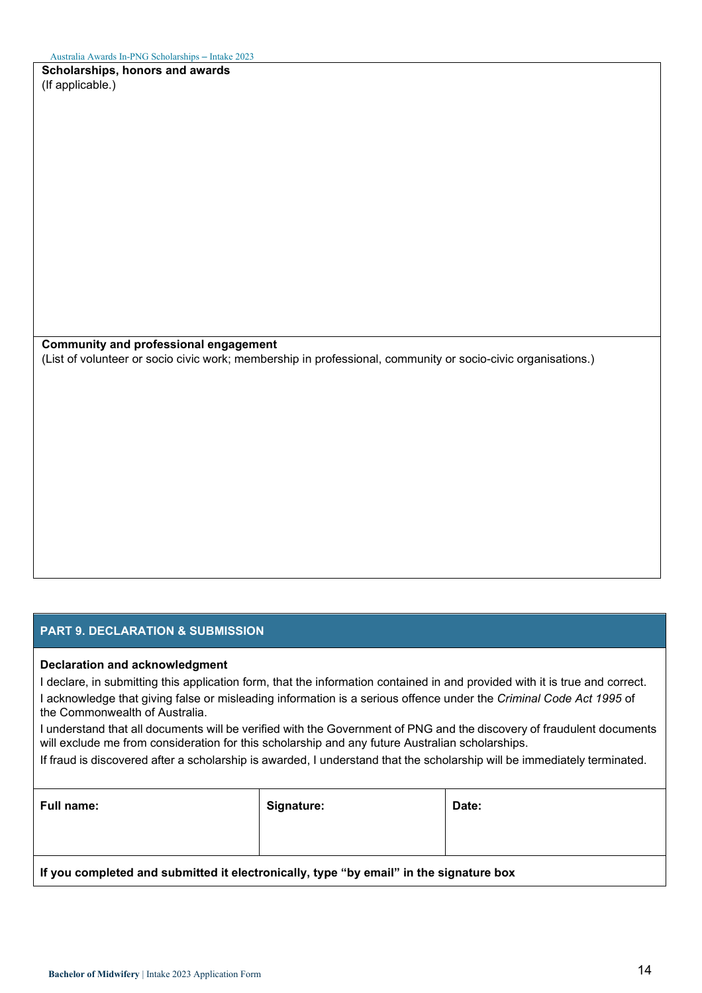**Scholarships, honors and awards** (If applicable.)

**Community and professional engagement**

(List of volunteer or socio civic work; membership in professional, community or socio-civic organisations.)

#### **PART 9. DECLARATION & SUBMISSION**

#### **Declaration and acknowledgment**

I declare, in submitting this application form, that the information contained in and provided with it is true and correct. I acknowledge that giving false or misleading information is a serious offence under the *Criminal Code Act 1995* of the Commonwealth of Australia.

I understand that all documents will be verified with the Government of PNG and the discovery of fraudulent documents will exclude me from consideration for this scholarship and any future Australian scholarships.

If fraud is discovered after a scholarship is awarded, I understand that the scholarship will be immediately terminated.

| <b>Full name:</b>                                                                      | Signature: | Date: |  |  |  |
|----------------------------------------------------------------------------------------|------------|-------|--|--|--|
|                                                                                        |            |       |  |  |  |
| If you completed and submitted it electronically, type "by email" in the signature box |            |       |  |  |  |